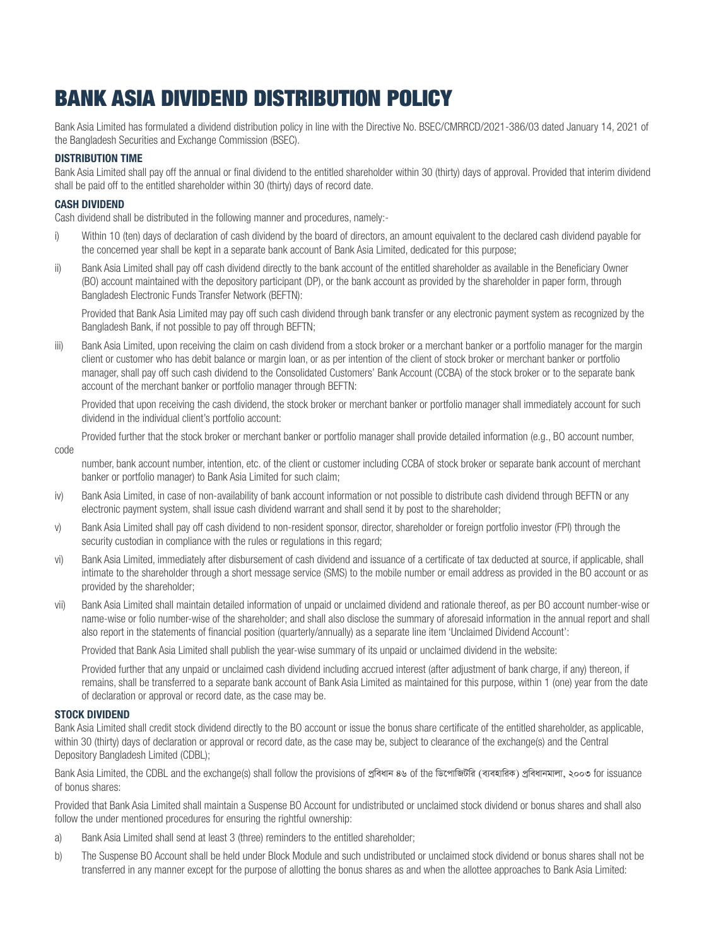# BANK ASIA DIVIDEND DISTRIBUTION POLICY

Bank Asia Limited has formulated a dividend distribution policy in line with the Directive No. BSEC/CMRRCD/2021-386/03 dated January 14, 2021 of the Bangladesh Securities and Exchange Commission (BSEC).

# DISTRIBUTION TIME

Bank Asia Limited shall pay off the annual or final dividend to the entitled shareholder within 30 (thirty) days of approval. Provided that interim dividend shall be paid off to the entitled shareholder within 30 (thirty) days of record date.

# CASH DIVIDEND

Cash dividend shall be distributed in the following manner and procedures, namely:-

- i) Within 10 (ten) days of declaration of cash dividend by the board of directors, an amount equivalent to the declared cash dividend payable for the concerned year shall be kept in a separate bank account of Bank Asia Limited, dedicated for this purpose;
- ii) Bank Asia Limited shall pay off cash dividend directly to the bank account of the entitled shareholder as available in the Beneficiary Owner (BO) account maintained with the depository participant (DP), or the bank account as provided by the shareholder in paper form, through Bangladesh Electronic Funds Transfer Network (BEFTN):

Provided that Bank Asia Limited may pay off such cash dividend through bank transfer or any electronic payment system as recognized by the Bangladesh Bank, if not possible to pay off through BEFTN;

iii) Bank Asia Limited, upon receiving the claim on cash dividend from a stock broker or a merchant banker or a portfolio manager for the margin client or customer who has debit balance or margin loan, or as per intention of the client of stock broker or merchant banker or portfolio manager, shall pay off such cash dividend to the Consolidated Customers' Bank Account (CCBA) of the stock broker or to the separate bank account of the merchant banker or portfolio manager through BEFTN:

Provided that upon receiving the cash dividend, the stock broker or merchant banker or portfolio manager shall immediately account for such dividend in the individual client's portfolio account:

Provided further that the stock broker or merchant banker or portfolio manager shall provide detailed information (e.g., BO account number,

code

number, bank account number, intention, etc. of the client or customer including CCBA of stock broker or separate bank account of merchant banker or portfolio manager) to Bank Asia Limited for such claim;

- iv) Bank Asia Limited, in case of non-availability of bank account information or not possible to distribute cash dividend through BEFTN or any electronic payment system, shall issue cash dividend warrant and shall send it by post to the shareholder;
- v) Bank Asia Limited shall pay off cash dividend to non-resident sponsor, director, shareholder or foreign portfolio investor (FPI) through the security custodian in compliance with the rules or regulations in this regard;
- vi) Bank Asia Limited, immediately after disbursement of cash dividend and issuance of a certificate of tax deducted at source, if applicable, shall intimate to the shareholder through a short message service (SMS) to the mobile number or email address as provided in the BO account or as provided by the shareholder;
- vii) Bank Asia Limited shall maintain detailed information of unpaid or unclaimed dividend and rationale thereof, as per BO account number-wise or name-wise or folio number-wise of the shareholder; and shall also disclose the summary of aforesaid information in the annual report and shall also report in the statements of financial position (quarterly/annually) as a separate line item 'Unclaimed Dividend Account':

Provided that Bank Asia Limited shall publish the year-wise summary of its unpaid or unclaimed dividend in the website:

 Provided further that any unpaid or unclaimed cash dividend including accrued interest (after adjustment of bank charge, if any) thereon, if remains, shall be transferred to a separate bank account of Bank Asia Limited as maintained for this purpose, within 1 (one) year from the date of declaration or approval or record date, as the case may be.

# STOCK DIVIDEND

Bank Asia Limited shall credit stock dividend directly to the BO account or issue the bonus share certificate of the entitled shareholder, as applicable, within 30 (thirty) days of declaration or approval or record date, as the case may be, subject to clearance of the exchange(s) and the Central Depository Bangladesh Limited (CDBL);

Bank Asia Limited, the CDBL and the exchange(s) shall follow the provisions of প্ৰবিধান ৪৬ of the ডিপোজিটরি (ব্যবহারিক) প্ৰবিধানমালা, ২০০৩ for issuance of bonus shares:

Provided that Bank Asia Limited shall maintain a Suspense BO Account for undistributed or unclaimed stock dividend or bonus shares and shall also follow the under mentioned procedures for ensuring the rightful ownership:

- a) Bank Asia Limited shall send at least 3 (three) reminders to the entitled shareholder;
- b) The Suspense BO Account shall be held under Block Module and such undistributed or unclaimed stock dividend or bonus shares shall not be transferred in any manner except for the purpose of allotting the bonus shares as and when the allottee approaches to Bank Asia Limited: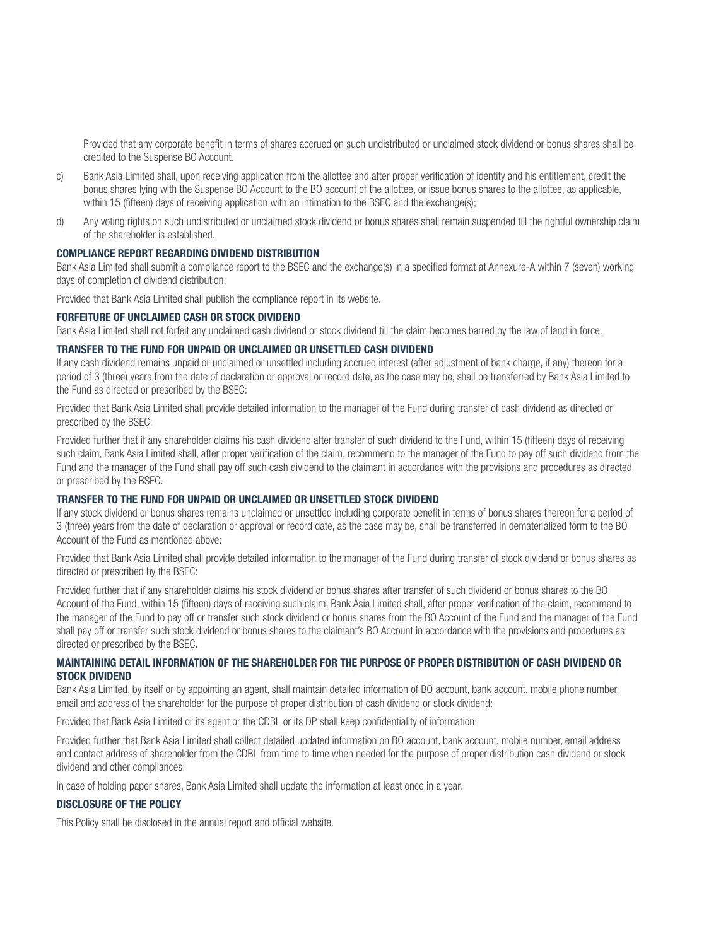Provided that any corporate benefit in terms of shares accrued on such undistributed or unclaimed stock dividend or bonus shares shall be credited to the Suspense BO Account.

- c) Bank Asia Limited shall, upon receiving application from the allottee and after proper verification of identity and his entitlement, credit the bonus shares lying with the Suspense BO Account to the BO account of the allottee, or issue bonus shares to the allottee, as applicable, within 15 (fifteen) days of receiving application with an intimation to the BSEC and the exchange(s);
- d) Any voting rights on such undistributed or unclaimed stock dividend or bonus shares shall remain suspended till the rightful ownership claim of the shareholder is established.

#### COMPLIANCE REPORT REGARDING DIVIDEND DISTRIBUTION

Bank Asia Limited shall submit a compliance report to the BSEC and the exchange(s) in a specified format at Annexure-A within 7 (seven) working days of completion of dividend distribution:

Provided that Bank Asia Limited shall publish the compliance report in its website.

#### FORFEITURE OF UNCLAIMED CASH OR STOCK DIVIDEND

Bank Asia Limited shall not forfeit any unclaimed cash dividend or stock dividend till the claim becomes barred by the law of land in force.

#### TRANSFER TO THE FUND FOR UNPAID OR UNCLAIMED OR UNSETTLED CASH DIVIDEND

If any cash dividend remains unpaid or unclaimed or unsettled including accrued interest (after adjustment of bank charge, if any) thereon for a period of 3 (three) years from the date of declaration or approval or record date, as the case may be, shall be transferred by Bank Asia Limited to the Fund as directed or prescribed by the BSEC:

Provided that Bank Asia Limited shall provide detailed information to the manager of the Fund during transfer of cash dividend as directed or prescribed by the BSEC:

Provided further that if any shareholder claims his cash dividend after transfer of such dividend to the Fund, within 15 (fifteen) days of receiving such claim, Bank Asia Limited shall, after proper verification of the claim, recommend to the manager of the Fund to pay off such dividend from the Fund and the manager of the Fund shall pay off such cash dividend to the claimant in accordance with the provisions and procedures as directed or prescribed by the BSEC.

# TRANSFER TO THE FUND FOR UNPAID OR UNCLAIMED OR UNSETTLED STOCK DIVIDEND

If any stock dividend or bonus shares remains unclaimed or unsettled including corporate benefit in terms of bonus shares thereon for a period of 3 (three) years from the date of declaration or approval or record date, as the case may be, shall be transferred in dematerialized form to the BO Account of the Fund as mentioned above:

Provided that Bank Asia Limited shall provide detailed information to the manager of the Fund during transfer of stock dividend or bonus shares as directed or prescribed by the BSEC:

Provided further that if any shareholder claims his stock dividend or bonus shares after transfer of such dividend or bonus shares to the BO Account of the Fund, within 15 (fifteen) days of receiving such claim, Bank Asia Limited shall, after proper verification of the claim, recommend to the manager of the Fund to pay off or transfer such stock dividend or bonus shares from the BO Account of the Fund and the manager of the Fund shall pay off or transfer such stock dividend or bonus shares to the claimant's BO Account in accordance with the provisions and procedures as directed or prescribed by the BSEC.

# MAINTAINING DETAIL INFORMATION OF THE SHAREHOLDER FOR THE PURPOSE OF PROPER DISTRIBUTION OF CASH DIVIDEND OR STOCK DIVIDEND

Bank Asia Limited, by itself or by appointing an agent, shall maintain detailed information of BO account, bank account, mobile phone number, email and address of the shareholder for the purpose of proper distribution of cash dividend or stock dividend:

Provided that Bank Asia Limited or its agent or the CDBL or its DP shall keep confidentiality of information:

Provided further that Bank Asia Limited shall collect detailed updated information on BO account, bank account, mobile number, email address and contact address of shareholder from the CDBL from time to time when needed for the purpose of proper distribution cash dividend or stock dividend and other compliances:

In case of holding paper shares, Bank Asia Limited shall update the information at least once in a year.

# DISCLOSURE OF THE POLICY

This Policy shall be disclosed in the annual report and official website.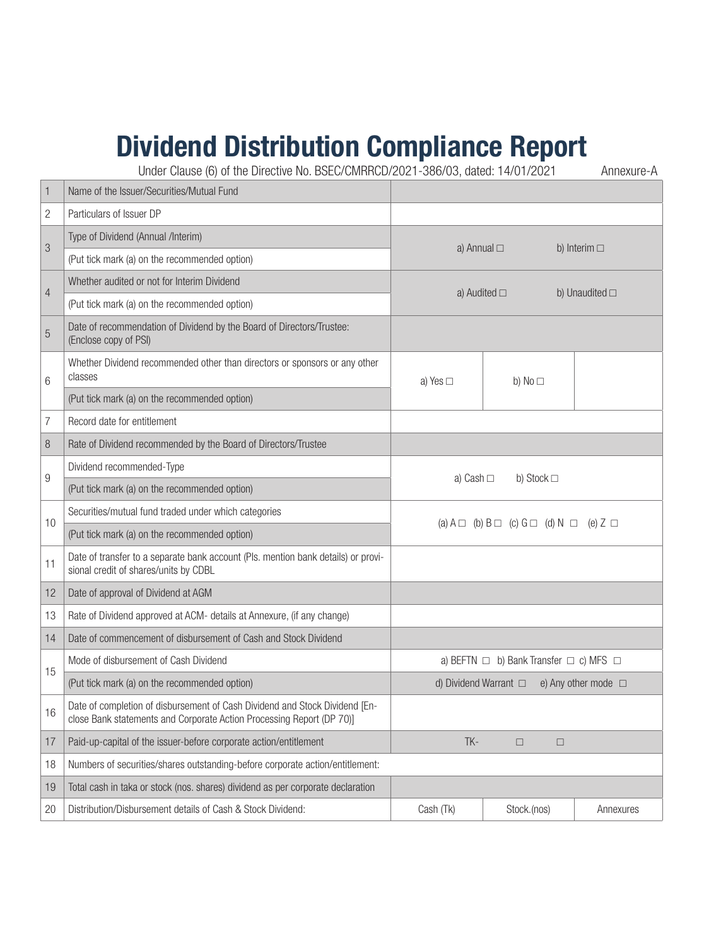# Dividend Distribution Compliance Report

Under Clause (6) of the Directive No. BSEC/CMRRCD/2021-386/03, dated: 14/01/2021 Annexure-A

| $\mathbf{1}$   | Name of the Issuer/Securities/Mutual Fund                                                                                                            |                                                                  |                 |           |  |
|----------------|------------------------------------------------------------------------------------------------------------------------------------------------------|------------------------------------------------------------------|-----------------|-----------|--|
| $\overline{c}$ | Particulars of Issuer DP                                                                                                                             |                                                                  |                 |           |  |
| 3              | Type of Dividend (Annual /Interim)                                                                                                                   | a) Annual $\square$<br>b) Interim $\square$                      |                 |           |  |
|                | (Put tick mark (a) on the recommended option)                                                                                                        |                                                                  |                 |           |  |
| $\overline{4}$ | Whether audited or not for Interim Dividend                                                                                                          | b) Unaudited $\square$<br>a) Audited $\square$                   |                 |           |  |
|                | (Put tick mark (a) on the recommended option)                                                                                                        |                                                                  |                 |           |  |
| $\overline{5}$ | Date of recommendation of Dividend by the Board of Directors/Trustee:<br>(Enclose copy of PSI)                                                       |                                                                  |                 |           |  |
| 6              | Whether Dividend recommended other than directors or sponsors or any other<br>classes                                                                | a) Yes $\Box$                                                    | b) No $\square$ |           |  |
|                | (Put tick mark (a) on the recommended option)                                                                                                        |                                                                  |                 |           |  |
| $\overline{7}$ | Record date for entitlement                                                                                                                          |                                                                  |                 |           |  |
| 8              | Rate of Dividend recommended by the Board of Directors/Trustee                                                                                       |                                                                  |                 |           |  |
| $9\,$          | Dividend recommended-Type                                                                                                                            | b) Stock $\square$<br>a) Cash $\Box$                             |                 |           |  |
|                | (Put tick mark (a) on the recommended option)                                                                                                        |                                                                  |                 |           |  |
| 10             | Securities/mutual fund traded under which categories                                                                                                 | (a) $A \Box$ (b) $B \Box$ (c) $G \Box$ (d) $N \Box$ (e) $Z \Box$ |                 |           |  |
|                | (Put tick mark (a) on the recommended option)                                                                                                        |                                                                  |                 |           |  |
| 11             | Date of transfer to a separate bank account (Pls. mention bank details) or provi-<br>sional credit of shares/units by CDBL                           |                                                                  |                 |           |  |
| 12             | Date of approval of Dividend at AGM                                                                                                                  |                                                                  |                 |           |  |
| 13             | Rate of Dividend approved at ACM- details at Annexure, (if any change)                                                                               |                                                                  |                 |           |  |
| 14             | Date of commencement of disbursement of Cash and Stock Dividend                                                                                      |                                                                  |                 |           |  |
|                | Mode of disbursement of Cash Dividend                                                                                                                | a) BEFTN $\Box$ b) Bank Transfer $\Box$ c) MFS $\Box$            |                 |           |  |
| 15             | (Put tick mark (a) on the recommended option)                                                                                                        | d) Dividend Warrant $\Box$ e) Any other mode $\Box$              |                 |           |  |
| 16             | Date of completion of disbursement of Cash Dividend and Stock Dividend [En-<br>close Bank statements and Corporate Action Processing Report (DP 70)] |                                                                  |                 |           |  |
| 17             | Paid-up-capital of the issuer-before corporate action/entitlement                                                                                    | TK-<br>$\Box$<br>$\Box$                                          |                 |           |  |
| 18             | Numbers of securities/shares outstanding-before corporate action/entitlement:                                                                        |                                                                  |                 |           |  |
| 19             | Total cash in taka or stock (nos. shares) dividend as per corporate declaration                                                                      |                                                                  |                 |           |  |
| 20             | Distribution/Disbursement details of Cash & Stock Dividend:                                                                                          | Cash (Tk)                                                        | Stock.(nos)     | Annexures |  |